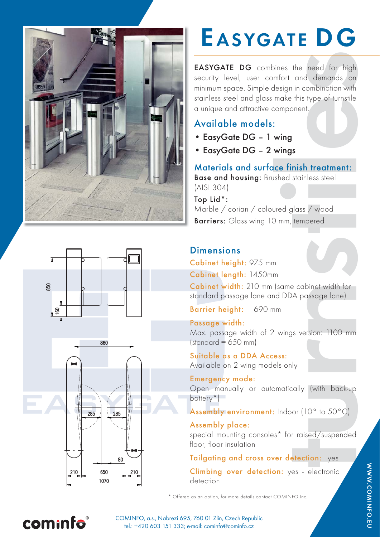

# EASYGATE DG

bines the need for high<br>mfort and demands on<br>design in combination with<br>make this type of turnstile<br>component.<br><br><br>**wings**<br>wings<br>wings<br>wings steel<br>and book posted<br>of the state of the state of<br>the state of<br>the state of<br>the po EASYGATE DG combines the need for high security level, user comfort and demands on minimum space. Simple design in combination with stainless steel and glass make this type of turnstile a unique and attractive component.

## Available models:

- EasyGate DG 1 wing
- EasyGate DG 2 wings

Materials and surface finish treatment: Base and housing: Brushed stainless steel

(AISI 304)

Top Lid\*: Marble / corian / coloured glass / wood Barriers: Glass wing 10 mm, tempered

## **Dimensions**

Cabinet height: 975 mm

Cabinet length: 1450mm

Cabinet width: 210 mm (same cabinet width for standard passage lane and DDA passage lane)

Barrier height: 690 mm

#### Passage width:

Max. passage width of 2 wings version: 1100 mm  $(statard = 650 mm)$ 

Suitable as a DDA Access: Available on 2 wing models only

# Emergency mode:

Open manually or automatically (with back-up battery<sup>\*</sup>)

#### Assembly environment: Indoor (10° to 50°C)

#### Assembly place:

special mounting consoles\* for raised/suspended floor, floor insulation

#### Tailgating and cross over detection: yes

Climbing over detection: yes - electronic detection

\* Offered as an option, for more details contact COMINFO Inc.







cominfo

COMINFO, a.s., Nabrezi 695, 760 01 Zlin, Czech Republic tel.: +420 603 151 333; e-mail: cominfo@cominfo.cz